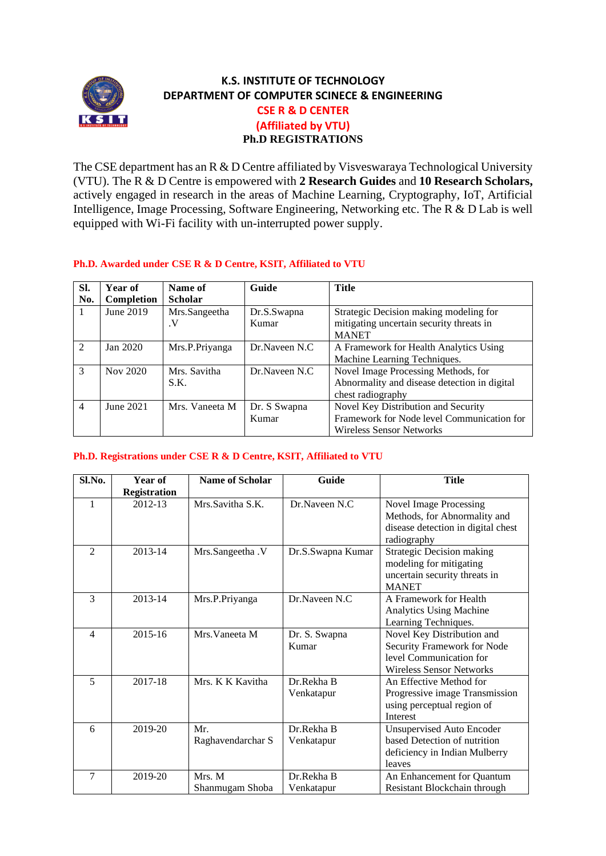

## **K.S. INSTITUTE OF TECHNOLOGY DEPARTMENT OF COMPUTER SCINECE & ENGINEERING CSE R & D CENTER (Affiliated by VTU) Ph.D REGISTRATIONS**

The CSE department has an R & D Centre affiliated by Visveswaraya Technological University (VTU). The R & D Centre is empowered with **2 Research Guides** and **10 Research Scholars,**  actively engaged in research in the areas of Machine Learning, Cryptography, IoT, Artificial Intelligence, Image Processing, Software Engineering, Networking etc. The R & D Lab is well equipped with Wi-Fi facility with un-interrupted power supply.

|  |  | Ph.D. Awarded under CSE R & D Centre, KSIT, Affiliated to VTU |  |
|--|--|---------------------------------------------------------------|--|
|  |  |                                                               |  |

| Sl.                         | Year of    | Name of        | Guide           | <b>Title</b>                                 |  |
|-----------------------------|------------|----------------|-----------------|----------------------------------------------|--|
| No.                         | Completion | <b>Scholar</b> |                 |                                              |  |
|                             | June 2019  | Mrs.Sangeetha  | Dr.S.Swapna     | Strategic Decision making modeling for       |  |
|                             |            | $\cdot$ V      | Kumar           | mitigating uncertain security threats in     |  |
|                             |            |                |                 | <b>MANET</b>                                 |  |
| $\mathcal{D}_{\mathcal{A}}$ | Jan 2020   | Mrs.P.Priyanga | Dr.Naveen N.C.  | A Framework for Health Analytics Using       |  |
|                             |            |                |                 | Machine Learning Techniques.                 |  |
| 3                           | Nov 2020   | Mrs. Savitha   | Dr. Naveen N.C. | Novel Image Processing Methods, for          |  |
|                             |            | S.K.           |                 | Abnormality and disease detection in digital |  |
|                             |            |                |                 | chest radiography                            |  |
| $\overline{4}$              | June 2021  | Mrs. Vaneeta M | Dr. S Swapna    | Novel Key Distribution and Security          |  |
|                             |            |                | Kumar           | Framework for Node level Communication for   |  |
|                             |            |                |                 | <b>Wireless Sensor Networks</b>              |  |

## **Ph.D. Registrations under CSE R & D Centre, KSIT, Affiliated to VTU**

| Sl.No.         | Year of                        | <b>Name of Scholar</b>    | Guide                    | <b>Title</b>                                                                                                       |
|----------------|--------------------------------|---------------------------|--------------------------|--------------------------------------------------------------------------------------------------------------------|
| 1              | <b>Registration</b><br>2012-13 | Mrs.Savitha S.K.          | Dr.Naveen N.C.           | <b>Novel Image Processing</b><br>Methods, for Abnormality and<br>disease detection in digital chest<br>radiography |
| $\mathfrak{D}$ | 2013-14                        | Mrs.Sangeetha .V          | Dr.S.Swapna Kumar        | <b>Strategic Decision making</b><br>modeling for mitigating<br>uncertain security threats in<br><b>MANET</b>       |
| 3              | 2013-14                        | Mrs.P.Priyanga            | Dr.Naveen N.C            | A Framework for Health<br><b>Analytics Using Machine</b><br>Learning Techniques.                                   |
| 4              | 2015-16                        | Mrs. Vaneeta M            | Dr. S. Swapna<br>Kumar   | Novel Key Distribution and<br>Security Framework for Node<br>level Communication for<br>Wireless Sensor Networks   |
| 5              | 2017-18                        | Mrs. K K Kavitha          | Dr.Rekha B<br>Venkatapur | An Effective Method for<br>Progressive image Transmission<br>using perceptual region of<br><b>Interest</b>         |
| 6              | 2019-20                        | Mr.<br>Raghavendarchar S  | Dr.Rekha B<br>Venkatapur | <b>Unsupervised Auto Encoder</b><br>based Detection of nutrition<br>deficiency in Indian Mulberry<br>leaves        |
| 7              | 2019-20                        | Mrs. M<br>Shanmugam Shoba | Dr.Rekha B<br>Venkatapur | An Enhancement for Quantum<br>Resistant Blockchain through                                                         |